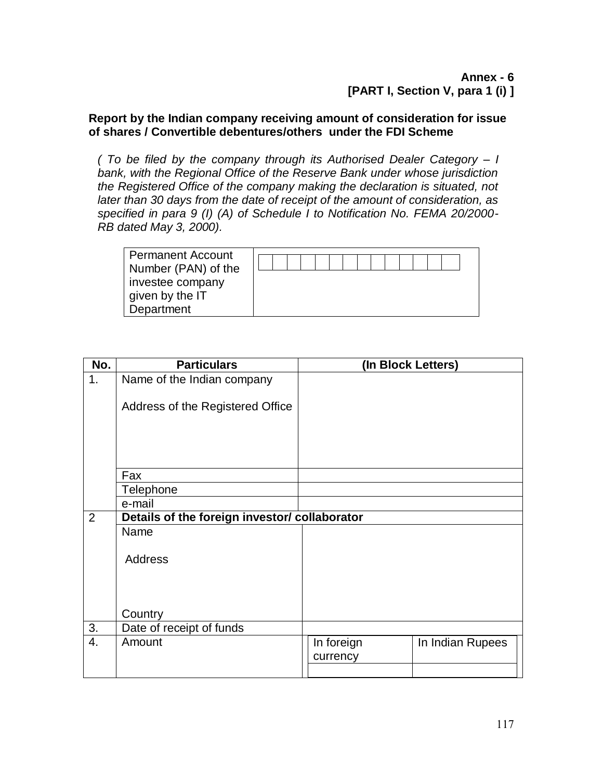## **Report by the Indian company receiving amount of consideration for issue of shares / Convertible debentures/others under the FDI Scheme**

*( To be filed by the company through its Authorised Dealer Category – I bank, with the Regional Office of the Reserve Bank under whose jurisdiction the Registered Office of the company making the declaration is situated, not later than 30 days from the date of receipt of the amount of consideration, as specified in para 9 (I) (A) of Schedule I to Notification No. FEMA 20/2000- RB dated May 3, 2000).*

| <b>Permanent Account</b><br>Number (PAN) of the |  |  |  |  |  |  |  |
|-------------------------------------------------|--|--|--|--|--|--|--|
| investee company<br>given by the IT             |  |  |  |  |  |  |  |
| Department                                      |  |  |  |  |  |  |  |

| No. | <b>Particulars</b>                            | (In Block Letters)                         |
|-----|-----------------------------------------------|--------------------------------------------|
| 1.  | Name of the Indian company                    |                                            |
|     | Address of the Registered Office              |                                            |
|     |                                               |                                            |
|     | Fax                                           |                                            |
|     | Telephone                                     |                                            |
|     | e-mail                                        |                                            |
| 2   | Details of the foreign investor/ collaborator |                                            |
|     | Name                                          |                                            |
|     | <b>Address</b>                                |                                            |
|     | Country                                       |                                            |
| 3.  | Date of receipt of funds                      |                                            |
| 4.  | Amount                                        | In foreign<br>In Indian Rupees<br>currency |
|     |                                               |                                            |